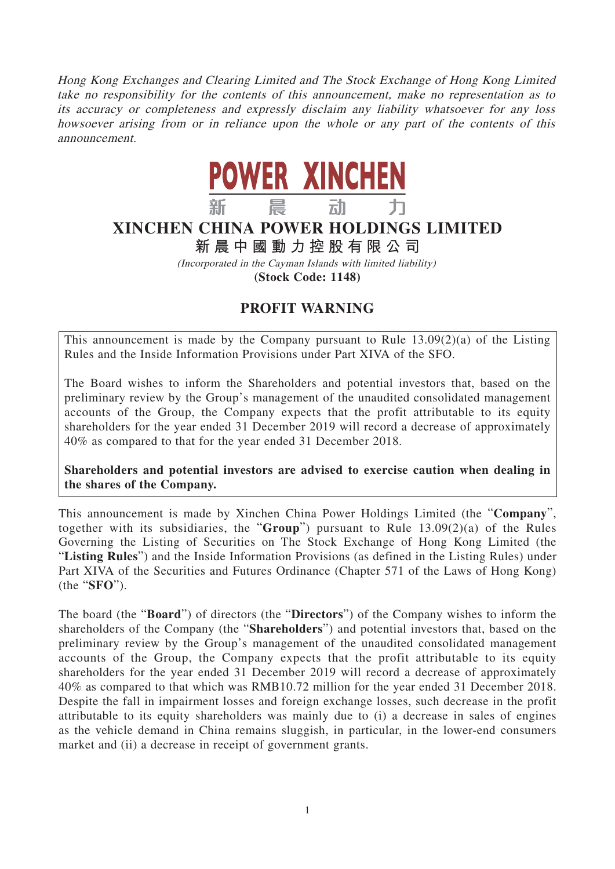Hong Kong Exchanges and Clearing Limited and The Stock Exchange of Hong Kong Limited take no responsibility for the contents of this announcement, make no representation as to its accuracy or completeness and expressly disclaim any liability whatsoever for any loss howsoever arising from or in reliance upon the whole or any part of the contents of this announcement.



## **XINCHEN CHINA POWER HOLDINGS LIMITED**

**新晨中國動力控股有限公司**

(Incorporated in the Cayman Islands with limited liability)

**(Stock Code: 1148)**

## **PROFIT WARNING**

This announcement is made by the Company pursuant to Rule  $13.09(2)(a)$  of the Listing Rules and the Inside Information Provisions under Part XIVA of the SFO.

The Board wishes to inform the Shareholders and potential investors that, based on the preliminary review by the Group's management of the unaudited consolidated management accounts of the Group, the Company expects that the profit attributable to its equity shareholders for the year ended 31 December 2019 will record a decrease of approximately 40% as compared to that for the year ended 31 December 2018.

**Shareholders and potential investors are advised to exercise caution when dealing in the shares of the Company.**

This announcement is made by Xinchen China Power Holdings Limited (the "**Company**", together with its subsidiaries, the "**Group**") pursuant to Rule 13.09(2)(a) of the Rules Governing the Listing of Securities on The Stock Exchange of Hong Kong Limited (the "**Listing Rules**") and the Inside Information Provisions (as defined in the Listing Rules) under Part XIVA of the Securities and Futures Ordinance (Chapter 571 of the Laws of Hong Kong) (the "**SFO**").

The board (the "**Board**") of directors (the "**Directors**") of the Company wishes to inform the shareholders of the Company (the "**Shareholders**") and potential investors that, based on the preliminary review by the Group's management of the unaudited consolidated management accounts of the Group, the Company expects that the profit attributable to its equity shareholders for the year ended 31 December 2019 will record a decrease of approximately 40% as compared to that which was RMB10.72 million for the year ended 31 December 2018. Despite the fall in impairment losses and foreign exchange losses, such decrease in the profit attributable to its equity shareholders was mainly due to (i) a decrease in sales of engines as the vehicle demand in China remains sluggish, in particular, in the lower-end consumers market and (ii) a decrease in receipt of government grants.